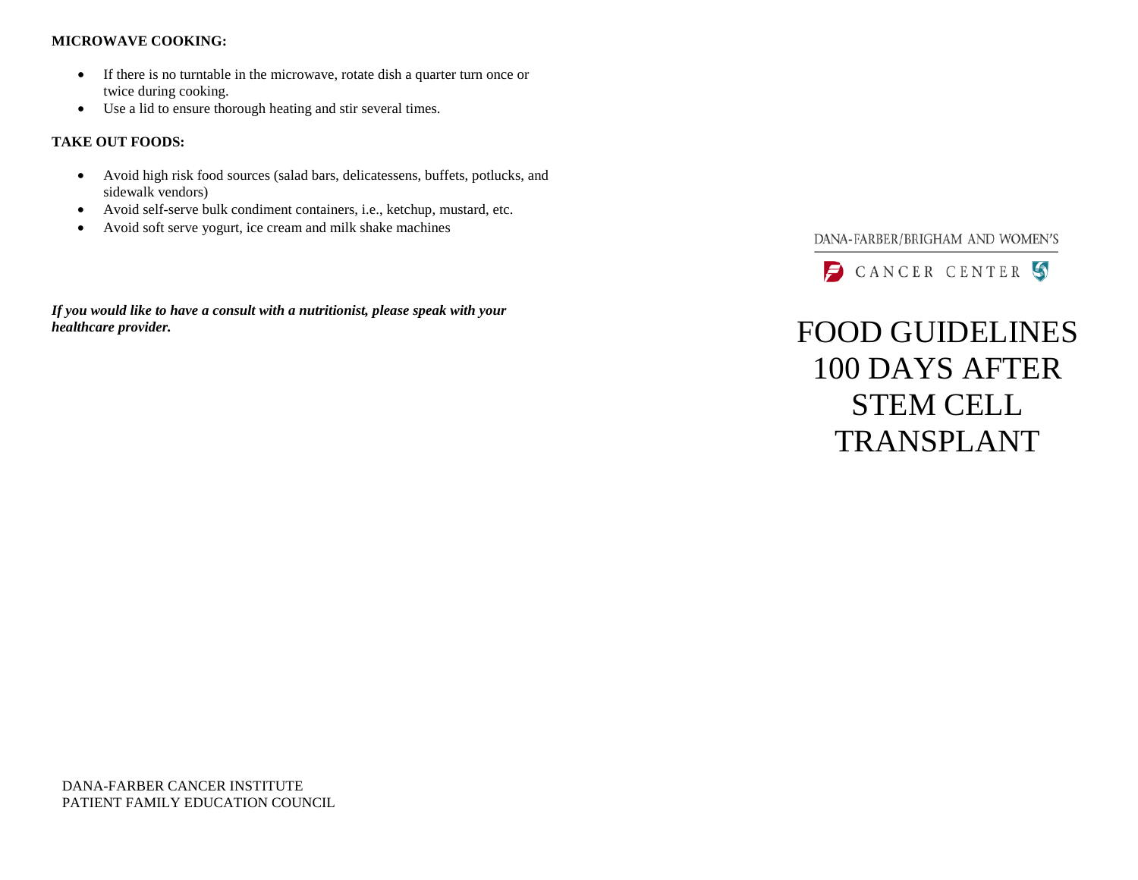#### **MICROWAVE COOKING:**

- If there is no turntable in the microwave, rotate dish a quarter turn once or twice during cooking.
- Use a lid to ensure thorough heating and stir several times.

### **TAKE OUT FOODS:**

- Avoid high risk food sources (salad bars, delicatessens, buffets, potlucks, and sidewalk vendors)
- Avoid self-serve bulk condiment containers, i.e., ketchup, mustard, etc.
- Avoid soft serve yogurt, ice cream and milk shake machines

*If you would like to have a consult with a nutritionist, please speak with your healthcare provider.* FOOD GUIDELINES

## DANA-FARBER/BRIGHAM AND WOMEN'S



# 100 DAYS AFTER STEM CELL TRANSPLANT